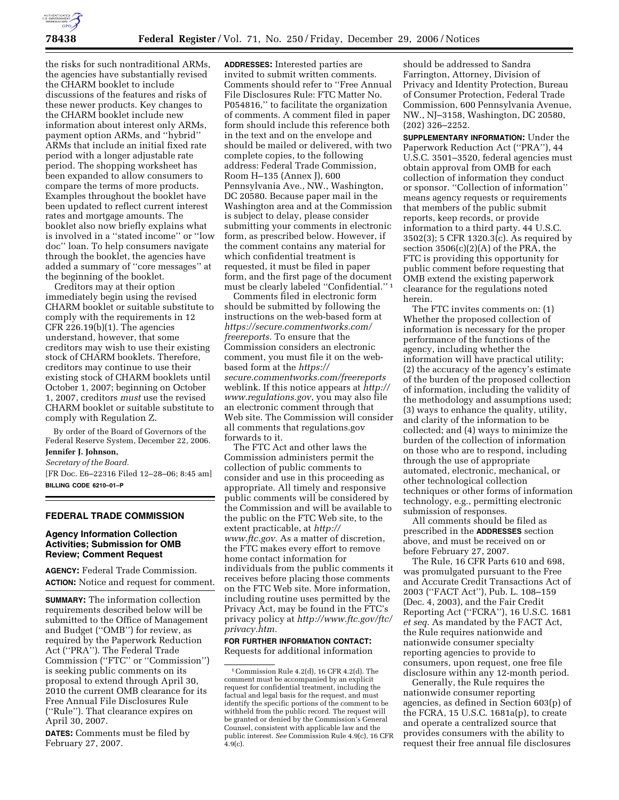

the risks for such nontraditional ARMs, the agencies have substantially revised the CHARM booklet to include discussions of the features and risks of these newer products. Key changes to the CHARM booklet include new information about interest only ARMs, payment option ARMs, and ''hybrid'' ARMs that include an initial fixed rate period with a longer adjustable rate period. The shopping worksheet has been expanded to allow consumers to compare the terms of more products. Examples throughout the booklet have been updated to reflect current interest rates and mortgage amounts. The booklet also now briefly explains what is involved in a ''stated income'' or ''low doc'' loan. To help consumers navigate through the booklet, the agencies have added a summary of ''core messages'' at the beginning of the booklet.

Creditors may at their option immediately begin using the revised CHARM booklet or suitable substitute to comply with the requirements in 12  $CFR 226.19(b)(1)$ . The agencies understand, however, that some creditors may wish to use their existing stock of CHARM booklets. Therefore, creditors may continue to use their existing stock of CHARM booklets until October 1, 2007; beginning on October 1, 2007, creditors *must* use the revised CHARM booklet or suitable substitute to comply with Regulation Z.

By order of the Board of Governors of the Federal Reserve System, December 22, 2006.

# **Jennifer J. Johnson,**

*Secretary of the Board.*  [FR Doc. E6–22316 Filed 12–28–06; 8:45 am] **BILLING CODE 6210–01–P** 

### **FEDERAL TRADE COMMISSION**

### **Agency Information Collection Activities; Submission for OMB Review; Comment Request**

**AGENCY:** Federal Trade Commission. **ACTION:** Notice and request for comment.

**SUMMARY:** The information collection requirements described below will be submitted to the Office of Management and Budget (''OMB'') for review, as required by the Paperwork Reduction Act (''PRA''). The Federal Trade Commission (''FTC'' or ''Commission'') is seeking public comments on its proposal to extend through April 30, 2010 the current OMB clearance for its Free Annual File Disclosures Rule (''Rule''). That clearance expires on April 30, 2007.

**DATES:** Comments must be filed by February 27, 2007.

**ADDRESSES:** Interested parties are invited to submit written comments. Comments should refer to ''Free Annual File Disclosures Rule: FTC Matter No. P054816,'' to facilitate the organization of comments. A comment filed in paper form should include this reference both in the text and on the envelope and should be mailed or delivered, with two complete copies, to the following address: Federal Trade Commission, Room H–135 (Annex J), 600 Pennsylvania Ave., NW., Washington, DC 20580. Because paper mail in the Washington area and at the Commission is subject to delay, please consider submitting your comments in electronic form, as prescribed below. However, if the comment contains any material for which confidential treatment is requested, it must be filed in paper form, and the first page of the document must be clearly labeled ''Confidential.'' 1

Comments filed in electronic form should be submitted by following the instructions on the web-based form at *https://secure.commentworks.com/ freereports.* To ensure that the Commission considers an electronic comment, you must file it on the webbased form at the *https:// secure.commentworks.com/freereports*  weblink. If this notice appears at *http:// www.regulations.gov*, you may also file an electronic comment through that Web site. The Commission will consider all comments that regulations.gov forwards to it.

The FTC Act and other laws the Commission administers permit the collection of public comments to consider and use in this proceeding as appropriate. All timely and responsive public comments will be considered by the Commission and will be available to the public on the FTC Web site, to the extent practicable, at *http:// www.ftc.gov.* As a matter of discretion, the FTC makes every effort to remove home contact information for individuals from the public comments it receives before placing those comments on the FTC Web site. More information, including routine uses permitted by the Privacy Act, may be found in the FTC's privacy policy at *http://www.ftc.gov/ftc/ privacy.htm.* 

# **FOR FURTHER INFORMATION CONTACT:**

Requests for additional information

should be addressed to Sandra Farrington, Attorney, Division of Privacy and Identity Protection, Bureau of Consumer Protection, Federal Trade Commission, 600 Pennsylvania Avenue, NW., NJ–3158, Washington, DC 20580, (202) 326–2252.

**SUPPLEMENTARY INFORMATION:** Under the Paperwork Reduction Act (''PRA''), 44 U.S.C. 3501–3520, federal agencies must obtain approval from OMB for each collection of information they conduct or sponsor. ''Collection of information'' means agency requests or requirements that members of the public submit reports, keep records, or provide information to a third party. 44 U.S.C. 3502(3); 5 CFR 1320.3(c). As required by section  $3506(c)(2)(A)$  of the PRA, the FTC is providing this opportunity for public comment before requesting that OMB extend the existing paperwork clearance for the regulations noted herein.

The FTC invites comments on: (1) Whether the proposed collection of information is necessary for the proper performance of the functions of the agency, including whether the information will have practical utility; (2) the accuracy of the agency's estimate of the burden of the proposed collection of information, including the validity of the methodology and assumptions used; (3) ways to enhance the quality, utility, and clarity of the information to be collected; and (4) ways to minimize the burden of the collection of information on those who are to respond, including through the use of appropriate automated, electronic, mechanical, or other technological collection techniques or other forms of information technology, e.g., permitting electronic submission of responses.

All comments should be filed as prescribed in the **ADDRESSES** section above, and must be received on or before February 27, 2007.

The Rule, 16 CFR Parts 610 and 698, was promulgated pursuant to the Free and Accurate Credit Transactions Act of 2003 (''FACT Act''), Pub. L. 108–159 (Dec. 4, 2003), and the Fair Credit Reporting Act (''FCRA''), 16 U.S.C. 1681 *et seq.* As mandated by the FACT Act, the Rule requires nationwide and nationwide consumer specialty reporting agencies to provide to consumers, upon request, one free file disclosure within any 12-month period.

Generally, the Rule requires the nationwide consumer reporting agencies, as defined in Section 603(p) of the FCRA, 15 U.S.C. 1681a(p), to create and operate a centralized source that provides consumers with the ability to request their free annual file disclosures

<sup>1</sup>Commission Rule 4.2(d), 16 CFR 4.2(d). The comment must be accompanied by an explicit request for confidential treatment, including the factual and legal basis for the request, and must identify the specific portions of the comment to be withheld from the public record. The request will be granted or denied by the Commission's General Counsel, consistent with applicable law and the public interest. *See* Commission Rule 4.9(c), 16 CFR  $4.9(c)$ .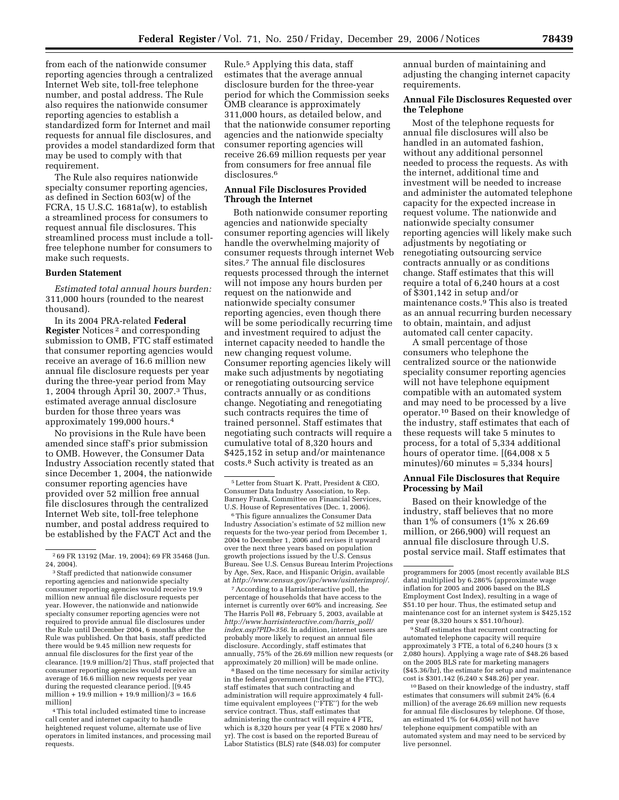from each of the nationwide consumer reporting agencies through a centralized Internet Web site, toll-free telephone number, and postal address. The Rule also requires the nationwide consumer reporting agencies to establish a standardized form for Internet and mail requests for annual file disclosures, and provides a model standardized form that may be used to comply with that requirement.

The Rule also requires nationwide specialty consumer reporting agencies, as defined in Section 603(w) of the FCRA, 15 U.S.C. 1681a(w), to establish a streamlined process for consumers to request annual file disclosures. This streamlined process must include a tollfree telephone number for consumers to make such requests.

#### **Burden Statement**

*Estimated total annual hours burden:*  311,000 hours (rounded to the nearest thousand).

In its 2004 PRA-related **Federal Register** Notices 2 and corresponding submission to OMB, FTC staff estimated that consumer reporting agencies would receive an average of 16.6 million new annual file disclosure requests per year during the three-year period from May 1, 2004 through April 30, 2007.3 Thus, estimated average annual disclosure burden for those three years was approximately 199,000 hours.4

No provisions in the Rule have been amended since staff's prior submission to OMB. However, the Consumer Data Industry Association recently stated that since December 1, 2004, the nationwide consumer reporting agencies have provided over 52 million free annual file disclosures through the centralized Internet Web site, toll-free telephone number, and postal address required to be established by the FACT Act and the

3Staff predicted that nationwide consumer reporting agencies and nationwide specialty consumer reporting agencies would receive 19.9 million new annual file disclosure requests per year. However, the nationwide and nationwide specialty consumer reporting agencies were not required to provide annual file disclosures under the Rule until December 2004, 6 months after the Rule was published. On that basis, staff predicted there would be 9.45 million new requests for annual file disclosures for the first year of the clearance. [19.9 million/2] Thus, staff projected that consumer reporting agencies would receive an average of 16.6 million new requests per year during the requested clearance period. [(9.45 million + 19.9 million + 19.9 million)/3 =  $16.6$ million]

4This total included estimated time to increase call center and internet capacity to handle heightened request volume, alternate use of live operators in limited instances, and processing mail requests.

Rule.5 Applying this data, staff estimates that the average annual disclosure burden for the three-year period for which the Commission seeks OMB clearance is approximately 311,000 hours, as detailed below, and that the nationwide consumer reporting agencies and the nationwide specialty consumer reporting agencies will receive 26.69 million requests per year from consumers for free annual file disclosures.<sup>6</sup>

## **Annual File Disclosures Provided Through the Internet**

Both nationwide consumer reporting agencies and nationwide specialty consumer reporting agencies will likely handle the overwhelming majority of consumer requests through internet Web sites.7 The annual file disclosures requests processed through the internet will not impose any hours burden per request on the nationwide and nationwide specialty consumer reporting agencies, even though there will be some periodically recurring time and investment required to adjust the internet capacity needed to handle the new changing request volume. Consumer reporting agencies likely will make such adjustments by negotiating or renegotiating outsourcing service contracts annually or as conditions change. Negotiating and renegotiating such contracts requires the time of trained personnel. Staff estimates that negotiating such contracts will require a cumulative total of 8,320 hours and \$425,152 in setup and/or maintenance costs.8 Such activity is treated as an

6This figure annualizes the Consumer Data Industry Association's estimate of 52 million new requests for the two-year period from December 1, 2004 to December 1, 2006 and revises it upward over the next three years based on population growth projections issued by the U.S. Census Bureau. See U.S. Census Bureau Interim Projections by Age, Sex, Race, and Hispanic Origin, available at *http://www.census.gov/ipc/www/usinterimproj/*.

7According to a HarrisInteractive poll, the percentage of households that have access to the internet is currently over 60% and increasing. *See*  The Harris Poll #8, February 5, 2003, available at *http://www.harrisinteractive.com/harris*\_*poll/ index.asp?PID=356*. In addition, internet users are probably more likely to request an annual file disclosure. Accordingly, staff estimates that annually, 75% of the 26.69 million new requests (or approximately 20 million) will be made online.

8Based on the time necessary for similar activity in the federal government (including at the FTC), staff estimates that such contracting and administration will require approximately 4 fulltime equivalent employees (''FTE'') for the web service contract. Thus, staff estimates that administering the contract will require 4 FTE, which is 8,320 hours per year (4 FTE x 2080 hrs/ yr). The cost is based on the reported Bureau of Labor Statistics (BLS) rate (\$48.03) for computer

annual burden of maintaining and adjusting the changing internet capacity requirements.

# **Annual File Disclosures Requested over the Telephone**

Most of the telephone requests for annual file disclosures will also be handled in an automated fashion, without any additional personnel needed to process the requests. As with the internet, additional time and investment will be needed to increase and administer the automated telephone capacity for the expected increase in request volume. The nationwide and nationwide specialty consumer reporting agencies will likely make such adjustments by negotiating or renegotiating outsourcing service contracts annually or as conditions change. Staff estimates that this will require a total of 6,240 hours at a cost of \$301,142 in setup and/or maintenance costs.<sup>9</sup> This also is treated as an annual recurring burden necessary to obtain, maintain, and adjust automated call center capacity.

A small percentage of those consumers who telephone the centralized source or the nationwide speciality consumer reporting agencies will not have telephone equipment compatible with an automated system and may need to be processed by a live operator.10 Based on their knowledge of the industry, staff estimates that each of these requests will take 5 minutes to process, for a total of 5,334 additional hours of operator time. [(64,008 x 5) minutes)/60 minutes = 5,334 hours]

## **Annual File Disclosures that Require Processing by Mail**

Based on their knowledge of the industry, staff believes that no more than 1% of consumers  $(1\% \times 26.69)$ million, or 266,900) will request an annual file disclosure through U.S. postal service mail. Staff estimates that

9Staff estimates that recurrent contracting for automated telephone capacity will require approximately 3 FTE, a total of 6,240 hours (3 x 2,080 hours). Applying a wage rate of \$48.26 based on the 2005 BLS rate for marketing managers (\$45.36/hr), the estimate for setup and maintenance cost is \$301,142 (6,240 x \$48.26) per year.

10Based on their knowledge of the industry, staff estimates that consumers will submit 24% (6.4 million) of the average 26.69 million new requests for annual file disclosures by telephone. Of those, an estimated 1% (or 64,056) will not have telephone equipment compatible with an automated system and may need to be serviced by live personnel.

<sup>2</sup> 69 FR 13192 (Mar. 19, 2004); 69 FR 35468 (Jun. 24, 2004).

<sup>5</sup>Letter from Stuart K. Pratt, President & CEO, Consumer Data Industry Association, to Rep. Barney Frank, Committee on Financial Services, U.S. House of Representatives (Dec. 1, 2006).

programmers for 2005 (most recently available BLS data) multiplied by 6.286% (approximate wage inflation for 2005 and 2006 based on the BLS Employment Cost Index), resulting in a wage of \$51.10 per hour. Thus, the estimated setup and maintenance cost for an internet system is \$425,152 per year (8,320 hours x \$51.10/hour).